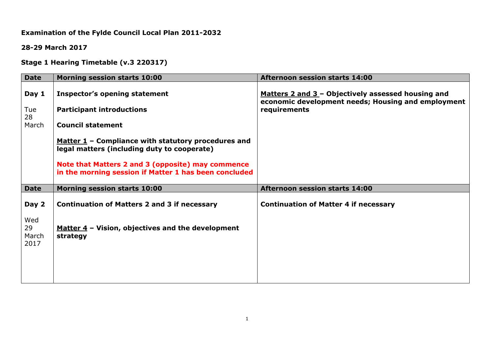# **Examination of the Fylde Council Local Plan 2011-2032**

**28-29 March 2017**

**Stage 1 Hearing Timetable (v.3 220317)**

| <b>Date</b>                | <b>Morning session starts 10:00</b>                                                                        | <b>Afternoon session starts 14:00</b>                                                                    |
|----------------------------|------------------------------------------------------------------------------------------------------------|----------------------------------------------------------------------------------------------------------|
| Day 1                      | <b>Inspector's opening statement</b>                                                                       | Matters 2 and 3 - Objectively assessed housing and<br>economic development needs; Housing and employment |
| Tue<br>28                  | <b>Participant introductions</b>                                                                           | requirements                                                                                             |
| March                      | <b>Council statement</b>                                                                                   |                                                                                                          |
|                            | Matter $1$ – Compliance with statutory procedures and<br>legal matters (including duty to cooperate)       |                                                                                                          |
|                            | Note that Matters 2 and 3 (opposite) may commence<br>in the morning session if Matter 1 has been concluded |                                                                                                          |
| <b>Date</b>                | <b>Morning session starts 10:00</b>                                                                        | <b>Afternoon session starts 14:00</b>                                                                    |
| Day 2                      | <b>Continuation of Matters 2 and 3 if necessary</b>                                                        | <b>Continuation of Matter 4 if necessary</b>                                                             |
| Wed<br>29<br>March<br>2017 | Matter $4$ – Vision, objectives and the development<br>strategy                                            |                                                                                                          |
|                            |                                                                                                            |                                                                                                          |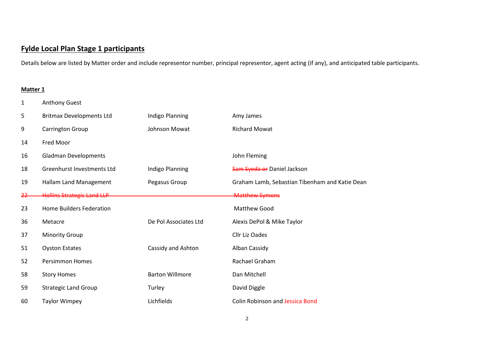# **Fylde Local Plan Stage 1 participants**

Details below are listed by Matter order and include representor number, principal representor, agent acting (if any), and anticipated table participants.

## **Matter 1**

| 1          | <b>Anthony Guest</b>              |                        |                                                |
|------------|-----------------------------------|------------------------|------------------------------------------------|
| 5          | <b>Britmax Developments Ltd</b>   | Indigo Planning        | Amy James                                      |
| 9          | Carrington Group                  | Johnson Mowat          | <b>Richard Mowat</b>                           |
| 14         | Fred Moor                         |                        |                                                |
| 16         | <b>Gladman Developments</b>       |                        | John Fleming                                   |
| 18         | Greenhurst Investments Ltd        | Indigo Planning        | Sam Syeda or Daniel Jackson                    |
| 19         | Hallam Land Management            | Pegasus Group          | Graham Lamb, Sebastian Tibenham and Katie Dean |
| <u> 22</u> | <b>Hollins Strategic Land LLP</b> |                        | <b>Matthew Symons</b>                          |
| 23         | <b>Home Builders Federation</b>   |                        | Matthew Good                                   |
| 36         | Metacre                           | De Pol Associates Ltd  | Alexis DePol & Mike Taylor                     |
| 37         | <b>Minority Group</b>             |                        | Cllr Liz Oades                                 |
| 51         | <b>Oyston Estates</b>             | Cassidy and Ashton     | Alban Cassidy                                  |
| 52         | <b>Persimmon Homes</b>            |                        | Rachael Graham                                 |
| 58         | <b>Story Homes</b>                | <b>Barton Willmore</b> | Dan Mitchell                                   |
| 59         | <b>Strategic Land Group</b>       | Turley                 | David Diggle                                   |
| 60         | <b>Taylor Wimpey</b>              | Lichfields             | <b>Colin Robinson and Jessica Bond</b>         |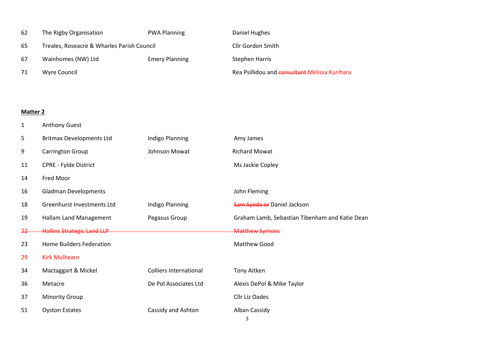| 62 | The Rigby Organisation                     | <b>PWA Planning</b>   | Daniel Hughes                                 |
|----|--------------------------------------------|-----------------------|-----------------------------------------------|
| 65 | Treales, Roseacre & Wharles Parish Council |                       | <b>Cllr Gordon Smith</b>                      |
| 67 | Wainhomes (NW) Ltd                         | <b>Emery Planning</b> | Stephen Harris                                |
| 71 | Wyre Council                               |                       | Rea Psillidou and consultant Melissa Kurihara |

## **Matter 2**

Anthony Guest

| 5             | <b>Britmax Developments Ltd</b>   | Indigo Planning               | Amy James                                      |
|---------------|-----------------------------------|-------------------------------|------------------------------------------------|
| 9             | Carrington Group                  | Johnson Mowat                 | <b>Richard Mowat</b>                           |
| 11            | <b>CPRE - Fylde District</b>      |                               | Ms Jackie Copley                               |
| 14            | Fred Moor                         |                               |                                                |
| 16            | <b>Gladman Developments</b>       |                               | John Fleming                                   |
| 18            | Greenhurst Investments Ltd        | Indigo Planning               | Sam Syeda or Daniel Jackson                    |
| 19            | Hallam Land Management            | Pegasus Group                 | Graham Lamb, Sebastian Tibenham and Katie Dean |
| <del>22</del> | <b>Hollins Strategic Land LLP</b> |                               | <b>Matthew Symons</b>                          |
| 23            | <b>Home Builders Federation</b>   |                               | <b>Matthew Good</b>                            |
| 29            | <b>Kirk Mulhearn</b>              |                               |                                                |
| 34            | Mactaggart & Mickel               | <b>Colliers International</b> | Tony Aitken                                    |
| 36            | Metacre                           | De Pol Associates Ltd         | Alexis DePol & Mike Taylor                     |
| 37            | <b>Minority Group</b>             |                               | Cllr Liz Oades                                 |
| 51            | <b>Oyston Estates</b>             | Cassidy and Ashton            | Alban Cassidy<br>3                             |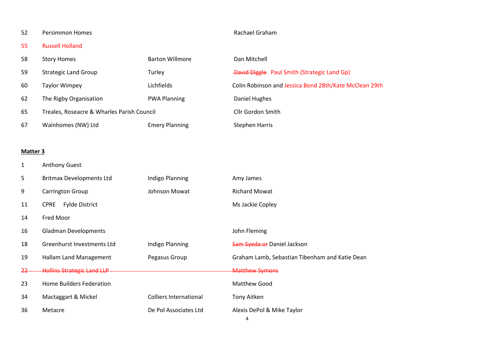## 52 Persimmon Homes **Rachael Graham**

Russell Holland

| 58 | <b>Story Homes</b>                         | <b>Barton Willmore</b> | Dan Mitchell                                           |
|----|--------------------------------------------|------------------------|--------------------------------------------------------|
| 59 | <b>Strategic Land Group</b>                | Turley                 | <b>-David Diggle</b> Paul Smith (Strategic Land Gp)    |
| 60 | <b>Taylor Wimpey</b>                       | Lichfields             | Colin Robinson and Jessica Bond 28th/Kate McClean 29th |
| 62 | The Rigby Organisation                     | <b>PWA Planning</b>    | Daniel Hughes                                          |
| 65 | Treales, Roseacre & Wharles Parish Council |                        | Cllr Gordon Smith                                      |
| 67 | Wainhomes (NW) Ltd                         | <b>Emery Planning</b>  | <b>Stephen Harris</b>                                  |

#### **Matter 3**

Anthony Guest

| 5         | <b>Britmax Developments Ltd</b>      | Indigo Planning               | Amy James                                      |
|-----------|--------------------------------------|-------------------------------|------------------------------------------------|
| 9         | <b>Carrington Group</b>              | Johnson Mowat                 | <b>Richard Mowat</b>                           |
| 11        | <b>Fylde District</b><br><b>CPRE</b> |                               | Ms Jackie Copley                               |
| 14        | Fred Moor                            |                               |                                                |
| 16        | <b>Gladman Developments</b>          |                               | John Fleming                                   |
| 18        | Greenhurst Investments Ltd           | Indigo Planning               | Sam Syeda or Daniel Jackson                    |
| 19        | Hallam Land Management               | Pegasus Group                 | Graham Lamb, Sebastian Tibenham and Katie Dean |
| <u>22</u> | <b>Hollins Strategic Land LLP</b>    |                               | <b>Matthew Symons</b>                          |
| 23        | Home Builders Federation             |                               | <b>Matthew Good</b>                            |
| 34        | Mactaggart & Mickel                  | <b>Colliers International</b> | Tony Aitken                                    |
| 36        | Metacre                              | De Pol Associates Ltd         | Alexis DePol & Mike Taylor<br>4                |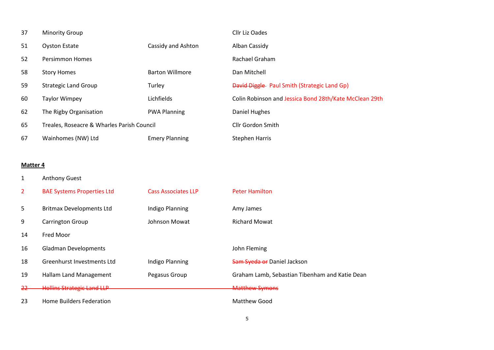| 37 | <b>Minority Group</b>                      |                        | Cllr Liz Oades                                         |
|----|--------------------------------------------|------------------------|--------------------------------------------------------|
| 51 | <b>Oyston Estate</b>                       | Cassidy and Ashton     | Alban Cassidy                                          |
| 52 | <b>Persimmon Homes</b>                     |                        | Rachael Graham                                         |
| 58 | <b>Story Homes</b>                         | <b>Barton Willmore</b> | Dan Mitchell                                           |
| 59 | <b>Strategic Land Group</b>                | Turley                 | <b>David Diggle</b> Paul Smith (Strategic Land Gp)     |
| 60 | <b>Taylor Wimpey</b>                       | Lichfields             | Colin Robinson and Jessica Bond 28th/Kate McClean 29th |
| 62 | The Rigby Organisation                     | <b>PWA Planning</b>    | Daniel Hughes                                          |
| 65 | Treales, Roseacre & Wharles Parish Council |                        | Cllr Gordon Smith                                      |
| 67 | Wainhomes (NW) Ltd                         | <b>Emery Planning</b>  | <b>Stephen Harris</b>                                  |

#### **Matter 4**

Anthony Guest

| 2             | <b>BAE Systems Properties Ltd</b> | <b>Cass Associates LLP</b> | <b>Peter Hamilton</b>                          |
|---------------|-----------------------------------|----------------------------|------------------------------------------------|
| 5             | <b>Britmax Developments Ltd</b>   | Indigo Planning            | Amy James                                      |
| 9             | <b>Carrington Group</b>           | Johnson Mowat              | <b>Richard Mowat</b>                           |
| 14            | Fred Moor                         |                            |                                                |
| 16            | <b>Gladman Developments</b>       |                            | John Fleming                                   |
| 18            | Greenhurst Investments Ltd        | Indigo Planning            | Sam Syeda or Daniel Jackson                    |
| 19            | Hallam Land Management            | Pegasus Group              | Graham Lamb, Sebastian Tibenham and Katie Dean |
| <del>22</del> | <b>Hollins Strategic Land LLP</b> |                            | <b>Matthew Symons</b>                          |
| 23            | Home Builders Federation          |                            | Matthew Good                                   |